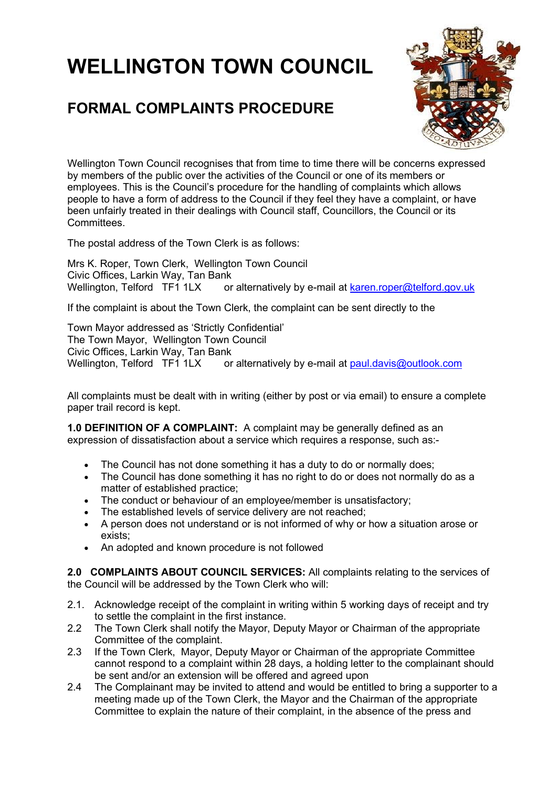## **WELLINGTON TOWN COUNCIL**

## **FORMAL COMPLAINTS PROCEDURE**



Wellington Town Council recognises that from time to time there will be concerns expressed by members of the public over the activities of the Council or one of its members or employees. This is the Council's procedure for the handling of complaints which allows people to have a form of address to the Council if they feel they have a complaint, or have been unfairly treated in their dealings with Council staff, Councillors, the Council or its Committees.

The postal address of the Town Clerk is as follows:

Mrs K. Roper, Town Clerk, Wellington Town Council Civic Offices, Larkin Way, Tan Bank<br>Wellington, Telford TF1 1LX or or alternatively by e-mail at [karen.roper@telford.gov.uk](mailto:howard.perkins@telford.gov.uk)

If the complaint is about the Town Clerk, the complaint can be sent directly to the

Town Mayor addressed as 'Strictly Confidential' The Town Mayor, Wellington Town Council Civic Offices, Larkin Way, Tan Bank<br>Wellington, Telford TF1 1LX or or alternatively by e-mail at [paul.davis@outlook.com](mailto:paul.davis@outlook.com)

All complaints must be dealt with in writing (either by post or via email) to ensure a complete paper trail record is kept.

**1.0 DEFINITION OF A COMPLAINT:** A complaint may be generally defined as an expression of dissatisfaction about a service which requires a response, such as:-

- The Council has not done something it has a duty to do or normally does:
- The Council has done something it has no right to do or does not normally do as a matter of established practice;
- The conduct or behaviour of an employee/member is unsatisfactory;
- The established levels of service delivery are not reached;
- A person does not understand or is not informed of why or how a situation arose or exists;
- An adopted and known procedure is not followed

**2.0 COMPLAINTS ABOUT COUNCIL SERVICES:** All complaints relating to the services of the Council will be addressed by the Town Clerk who will:

- 2.1. Acknowledge receipt of the complaint in writing within 5 working days of receipt and try to settle the complaint in the first instance.
- 2.2 The Town Clerk shall notify the Mayor, Deputy Mayor or Chairman of the appropriate Committee of the complaint.
- 2.3 If the Town Clerk, Mayor, Deputy Mayor or Chairman of the appropriate Committee cannot respond to a complaint within 28 days, a holding letter to the complainant should be sent and/or an extension will be offered and agreed upon
- 2.4 The Complainant may be invited to attend and would be entitled to bring a supporter to a meeting made up of the Town Clerk, the Mayor and the Chairman of the appropriate Committee to explain the nature of their complaint, in the absence of the press and